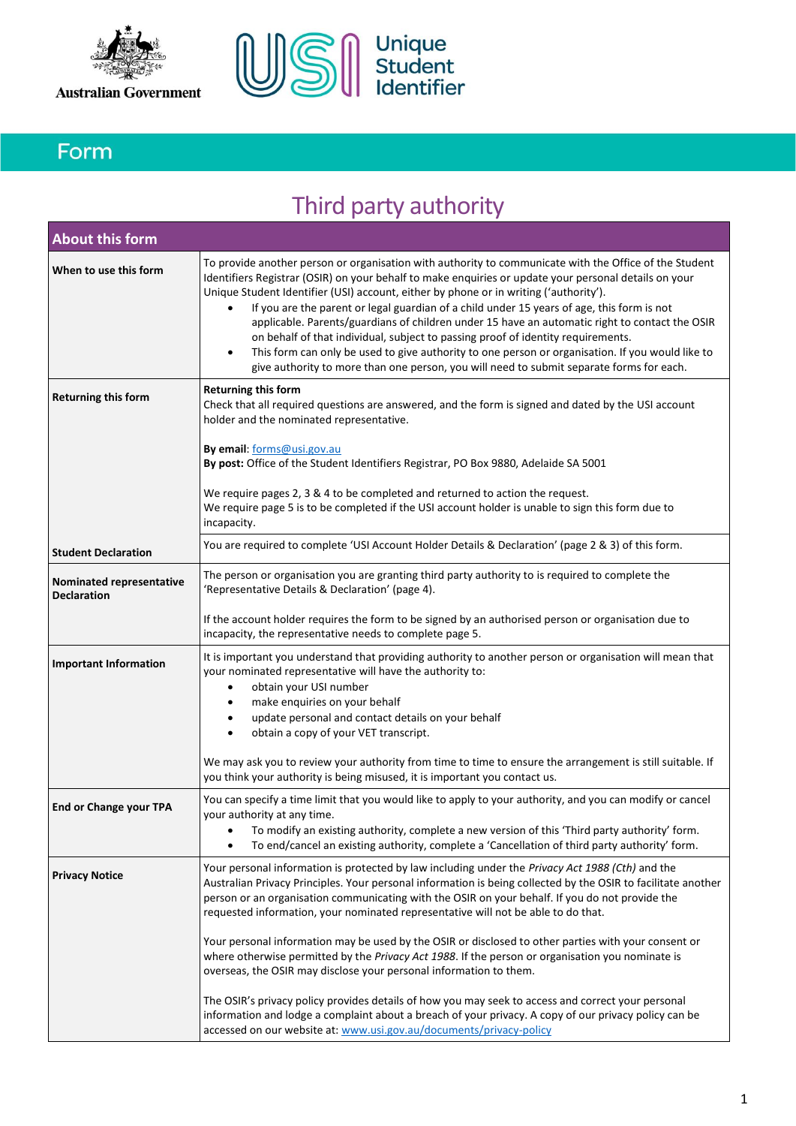



## Form

# Third party authority

| <b>About this form</b>                         |                                                                                                                                                                                                                                                                                                                                                                                                                                                                                                                                                                                                                                                                                                                                                                                                   |
|------------------------------------------------|---------------------------------------------------------------------------------------------------------------------------------------------------------------------------------------------------------------------------------------------------------------------------------------------------------------------------------------------------------------------------------------------------------------------------------------------------------------------------------------------------------------------------------------------------------------------------------------------------------------------------------------------------------------------------------------------------------------------------------------------------------------------------------------------------|
| When to use this form                          | To provide another person or organisation with authority to communicate with the Office of the Student<br>Identifiers Registrar (OSIR) on your behalf to make enquiries or update your personal details on your<br>Unique Student Identifier (USI) account, either by phone or in writing ('authority').<br>If you are the parent or legal guardian of a child under 15 years of age, this form is not<br>applicable. Parents/guardians of children under 15 have an automatic right to contact the OSIR<br>on behalf of that individual, subject to passing proof of identity requirements.<br>This form can only be used to give authority to one person or organisation. If you would like to<br>٠<br>give authority to more than one person, you will need to submit separate forms for each. |
| <b>Returning this form</b>                     | Returning this form<br>Check that all required questions are answered, and the form is signed and dated by the USI account<br>holder and the nominated representative.                                                                                                                                                                                                                                                                                                                                                                                                                                                                                                                                                                                                                            |
|                                                | By email: forms@usi.gov.au<br>By post: Office of the Student Identifiers Registrar, PO Box 9880, Adelaide SA 5001                                                                                                                                                                                                                                                                                                                                                                                                                                                                                                                                                                                                                                                                                 |
|                                                | We require pages 2, 3 & 4 to be completed and returned to action the request.<br>We require page 5 is to be completed if the USI account holder is unable to sign this form due to<br>incapacity.                                                                                                                                                                                                                                                                                                                                                                                                                                                                                                                                                                                                 |
| <b>Student Declaration</b>                     | You are required to complete 'USI Account Holder Details & Declaration' (page 2 & 3) of this form.                                                                                                                                                                                                                                                                                                                                                                                                                                                                                                                                                                                                                                                                                                |
| Nominated representative<br><b>Declaration</b> | The person or organisation you are granting third party authority to is required to complete the<br>'Representative Details & Declaration' (page 4).                                                                                                                                                                                                                                                                                                                                                                                                                                                                                                                                                                                                                                              |
|                                                | If the account holder requires the form to be signed by an authorised person or organisation due to<br>incapacity, the representative needs to complete page 5.                                                                                                                                                                                                                                                                                                                                                                                                                                                                                                                                                                                                                                   |
| <b>Important Information</b>                   | It is important you understand that providing authority to another person or organisation will mean that<br>your nominated representative will have the authority to:<br>obtain your USI number<br>٠<br>make enquiries on your behalf<br>٠<br>update personal and contact details on your behalf<br>٠<br>obtain a copy of your VET transcript.<br>$\bullet$                                                                                                                                                                                                                                                                                                                                                                                                                                       |
|                                                | We may ask you to review your authority from time to time to ensure the arrangement is still suitable. If<br>you think your authority is being misused, it is important you contact us.                                                                                                                                                                                                                                                                                                                                                                                                                                                                                                                                                                                                           |
| <b>End or Change your TPA</b>                  | You can specify a time limit that you would like to apply to your authority, and you can modify or cancel<br>your authority at any time.<br>To modify an existing authority, complete a new version of this 'Third party authority' form.<br>To end/cancel an existing authority, complete a 'Cancellation of third party authority' form.                                                                                                                                                                                                                                                                                                                                                                                                                                                        |
| <b>Privacy Notice</b>                          | Your personal information is protected by law including under the Privacy Act 1988 (Cth) and the<br>Australian Privacy Principles. Your personal information is being collected by the OSIR to facilitate another<br>person or an organisation communicating with the OSIR on your behalf. If you do not provide the<br>requested information, your nominated representative will not be able to do that.                                                                                                                                                                                                                                                                                                                                                                                         |
|                                                | Your personal information may be used by the OSIR or disclosed to other parties with your consent or<br>where otherwise permitted by the Privacy Act 1988. If the person or organisation you nominate is<br>overseas, the OSIR may disclose your personal information to them.                                                                                                                                                                                                                                                                                                                                                                                                                                                                                                                    |
|                                                | The OSIR's privacy policy provides details of how you may seek to access and correct your personal<br>information and lodge a complaint about a breach of your privacy. A copy of our privacy policy can be<br>accessed on our website at: www.usi.gov.au/documents/privacy-policy                                                                                                                                                                                                                                                                                                                                                                                                                                                                                                                |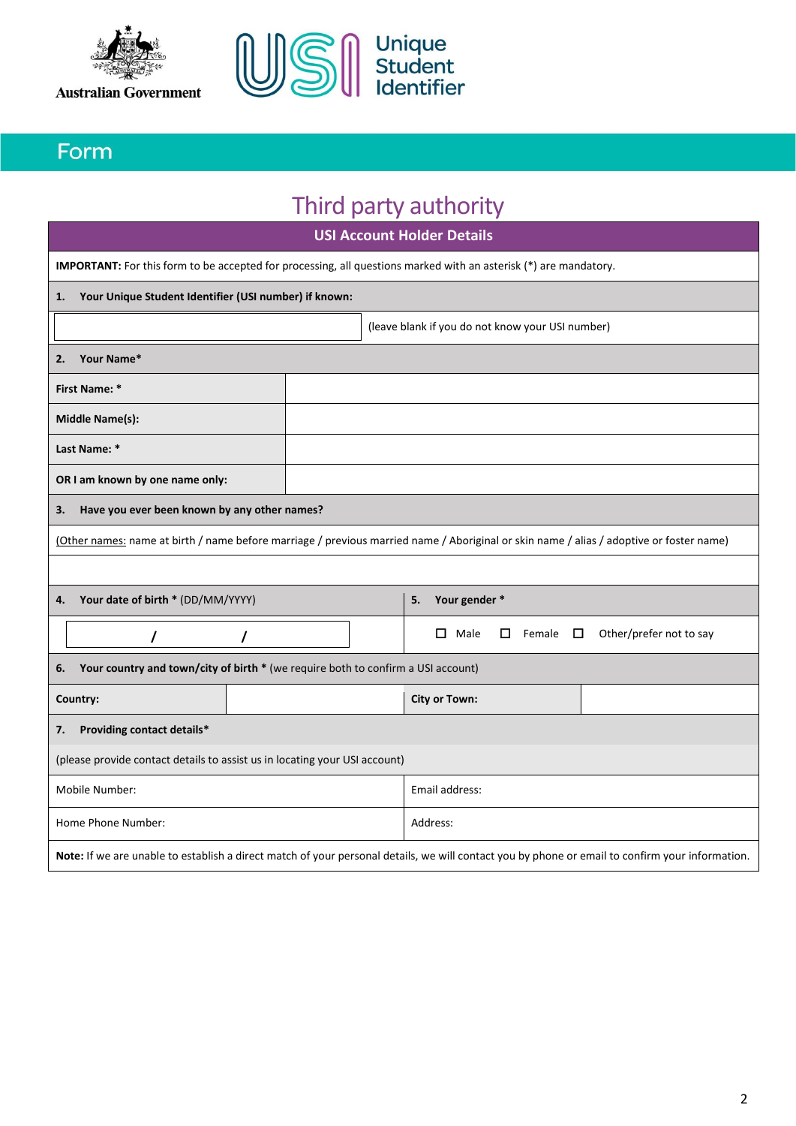



### Form

# Third party authority

|                                                                            | <b>USI Account Holder Details</b>                                                                                                               |  |  |                      |                                                  |                            |  |                         |
|----------------------------------------------------------------------------|-------------------------------------------------------------------------------------------------------------------------------------------------|--|--|----------------------|--------------------------------------------------|----------------------------|--|-------------------------|
|                                                                            | <b>IMPORTANT:</b> For this form to be accepted for processing, all questions marked with an asterisk (*) are mandatory.                         |  |  |                      |                                                  |                            |  |                         |
| 1.                                                                         | Your Unique Student Identifier (USI number) if known:                                                                                           |  |  |                      |                                                  |                            |  |                         |
|                                                                            |                                                                                                                                                 |  |  |                      | (leave blank if you do not know your USI number) |                            |  |                         |
| 2.                                                                         | Your Name*                                                                                                                                      |  |  |                      |                                                  |                            |  |                         |
|                                                                            | First Name: *                                                                                                                                   |  |  |                      |                                                  |                            |  |                         |
|                                                                            | <b>Middle Name(s):</b>                                                                                                                          |  |  |                      |                                                  |                            |  |                         |
|                                                                            | Last Name: *                                                                                                                                    |  |  |                      |                                                  |                            |  |                         |
|                                                                            | OR I am known by one name only:                                                                                                                 |  |  |                      |                                                  |                            |  |                         |
| З.                                                                         | Have you ever been known by any other names?                                                                                                    |  |  |                      |                                                  |                            |  |                         |
|                                                                            | (Other names: name at birth / name before marriage / previous married name / Aboriginal or skin name / alias / adoptive or foster name)         |  |  |                      |                                                  |                            |  |                         |
|                                                                            |                                                                                                                                                 |  |  |                      |                                                  |                            |  |                         |
| 4.                                                                         | Your date of birth * (DD/MM/YYYY)<br>Your gender *<br>5.                                                                                        |  |  |                      |                                                  |                            |  |                         |
|                                                                            | I<br>$\prime$                                                                                                                                   |  |  |                      | $\Box$ Male                                      | $\square$ Female $\square$ |  | Other/prefer not to say |
| 6.                                                                         | Your country and town/city of birth * (we require both to confirm a USI account)                                                                |  |  |                      |                                                  |                            |  |                         |
|                                                                            | Country:                                                                                                                                        |  |  | <b>City or Town:</b> |                                                  |                            |  |                         |
| Providing contact details*<br>7.                                           |                                                                                                                                                 |  |  |                      |                                                  |                            |  |                         |
| (please provide contact details to assist us in locating your USI account) |                                                                                                                                                 |  |  |                      |                                                  |                            |  |                         |
| Mobile Number:<br>Email address:                                           |                                                                                                                                                 |  |  |                      |                                                  |                            |  |                         |
|                                                                            | Home Phone Number:<br>Address:                                                                                                                  |  |  |                      |                                                  |                            |  |                         |
|                                                                            | Note: If we are unable to establish a direct match of your personal details, we will contact you by phone or email to confirm your information. |  |  |                      |                                                  |                            |  |                         |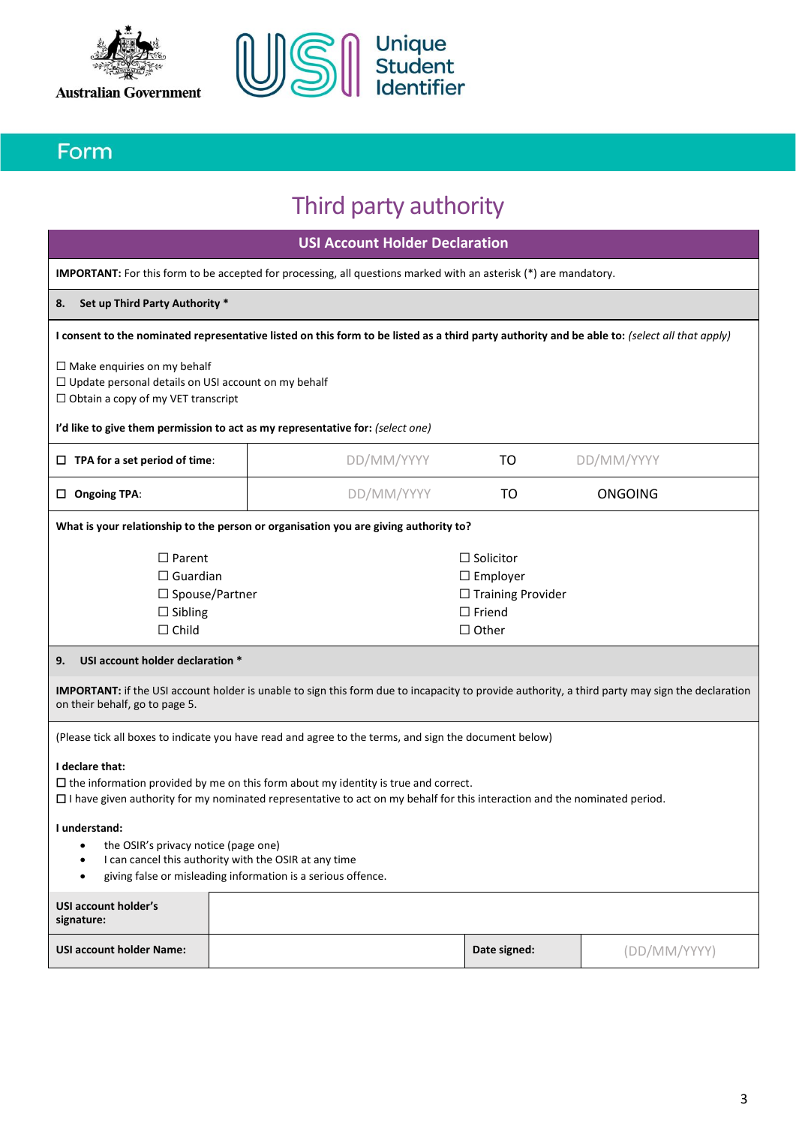



### Form

## Third party authority

**USI Account Holder Declaration**

**IMPORTANT:** For this form to be accepted for processing, all questions marked with an asterisk (\*) are mandatory.

### **8. Set up Third Party Authority \***

| I consent to the nominated representative listed on this form to be listed as a third party authority and be able to: (select all that apply)                                                                                   |  |  |  |  |  |  |  |
|---------------------------------------------------------------------------------------------------------------------------------------------------------------------------------------------------------------------------------|--|--|--|--|--|--|--|
| $\Box$ Make enquiries on my behalf<br>$\Box$ Update personal details on USI account on my behalf<br>$\Box$ Obtain a copy of my VET transcript<br>I'd like to give them permission to act as my representative for: (select one) |  |  |  |  |  |  |  |
| DD/MM/YYYY<br>DD/MM/YYYY<br>$\Box$ TPA for a set period of time:<br>TO                                                                                                                                                          |  |  |  |  |  |  |  |
| DD/MM/YYYY<br>ONGOING<br>TO<br><b>Ongoing TPA:</b>                                                                                                                                                                              |  |  |  |  |  |  |  |
|                                                                                                                                                                                                                                 |  |  |  |  |  |  |  |

**What is your relationship to the person or organisation you are giving authority to?**

| $\square$ Parent | $\Box$ Solicitor         |
|------------------|--------------------------|
| $\Box$ Guardian  | $\Box$ Employer          |
| □ Spouse/Partner | $\Box$ Training Provider |
| $\Box$ Sibling   | $\Box$ Friend            |
| $\Box$ Child     | $\Box$ Other             |
|                  |                          |

### **9. USI account holder declaration \***

**IMPORTANT:** if the USI account holder is unable to sign this form due to incapacity to provide authority, a third party may sign the declaration on their behalf, go to page 5.

(Please tick all boxes to indicate you have read and agree to the terms, and sign the document below)

### **I declare that:**

☐ the information provided by me on this form about my identity is true and correct. ☐ I have given authority for my nominated representative to act on my behalf for this interaction and the nominated period.

### **I understand:**

- the OSIR's privacy notice (page one)
- I can cancel this authority with the OSIR at any time
- giving false or misleading information is a serious offence.

| USI account holder's<br>signature: |              |              |
|------------------------------------|--------------|--------------|
| <b>USI account holder Name:</b>    | Date signed: | (DD/MM/YYYY) |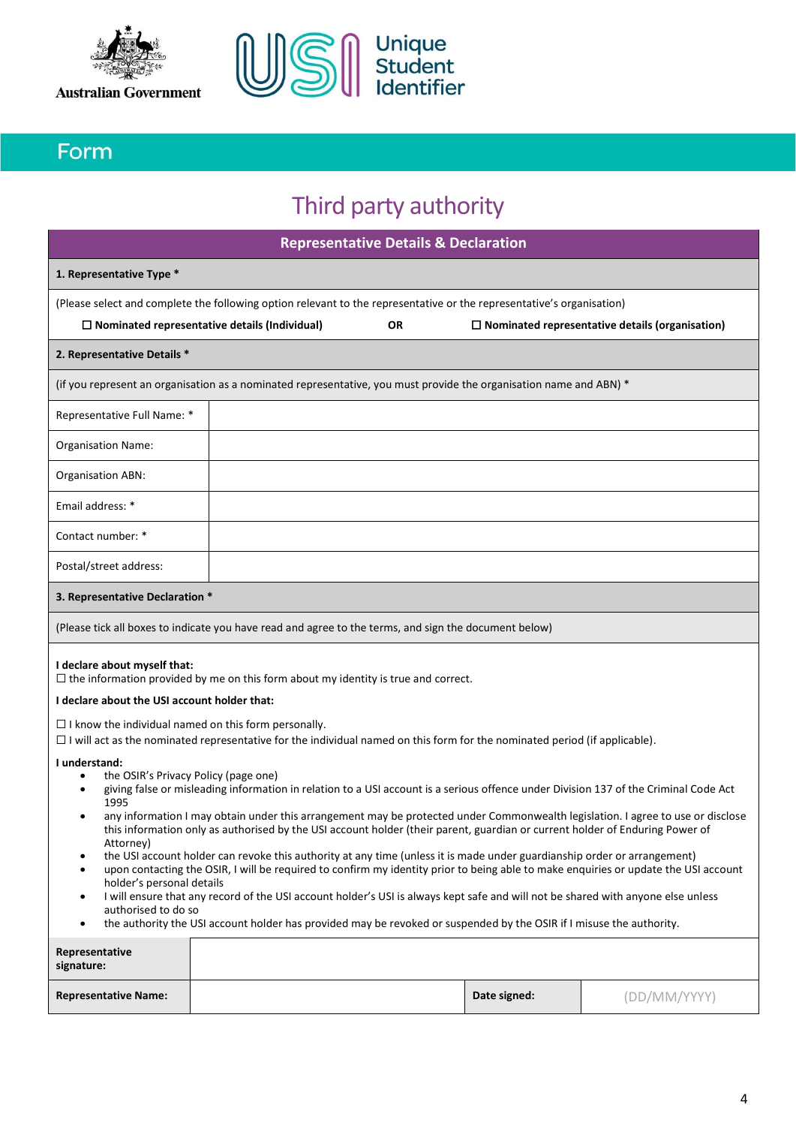



### Form

## Third party authority

| <b>Representative Details &amp; Declaration</b>                                                                                                                                                                                                                                                                                                                                                                                                                                                                                                                                                                                                                                                                                                                                                                                                                                                                                                                                                                                                                                                                                                                                                                                                                                                                                                                                                 |                                                                                                                    |  |              |              |
|-------------------------------------------------------------------------------------------------------------------------------------------------------------------------------------------------------------------------------------------------------------------------------------------------------------------------------------------------------------------------------------------------------------------------------------------------------------------------------------------------------------------------------------------------------------------------------------------------------------------------------------------------------------------------------------------------------------------------------------------------------------------------------------------------------------------------------------------------------------------------------------------------------------------------------------------------------------------------------------------------------------------------------------------------------------------------------------------------------------------------------------------------------------------------------------------------------------------------------------------------------------------------------------------------------------------------------------------------------------------------------------------------|--------------------------------------------------------------------------------------------------------------------|--|--------------|--------------|
| 1. Representative Type *                                                                                                                                                                                                                                                                                                                                                                                                                                                                                                                                                                                                                                                                                                                                                                                                                                                                                                                                                                                                                                                                                                                                                                                                                                                                                                                                                                        |                                                                                                                    |  |              |              |
| (Please select and complete the following option relevant to the representative or the representative's organisation)<br>$\Box$ Nominated representative details (Individual)<br><b>OR</b><br>$\Box$ Nominated representative details (organisation)                                                                                                                                                                                                                                                                                                                                                                                                                                                                                                                                                                                                                                                                                                                                                                                                                                                                                                                                                                                                                                                                                                                                            |                                                                                                                    |  |              |              |
| 2. Representative Details *                                                                                                                                                                                                                                                                                                                                                                                                                                                                                                                                                                                                                                                                                                                                                                                                                                                                                                                                                                                                                                                                                                                                                                                                                                                                                                                                                                     |                                                                                                                    |  |              |              |
|                                                                                                                                                                                                                                                                                                                                                                                                                                                                                                                                                                                                                                                                                                                                                                                                                                                                                                                                                                                                                                                                                                                                                                                                                                                                                                                                                                                                 | (if you represent an organisation as a nominated representative, you must provide the organisation name and ABN) * |  |              |              |
| Representative Full Name: *                                                                                                                                                                                                                                                                                                                                                                                                                                                                                                                                                                                                                                                                                                                                                                                                                                                                                                                                                                                                                                                                                                                                                                                                                                                                                                                                                                     |                                                                                                                    |  |              |              |
| <b>Organisation Name:</b>                                                                                                                                                                                                                                                                                                                                                                                                                                                                                                                                                                                                                                                                                                                                                                                                                                                                                                                                                                                                                                                                                                                                                                                                                                                                                                                                                                       |                                                                                                                    |  |              |              |
| Organisation ABN:                                                                                                                                                                                                                                                                                                                                                                                                                                                                                                                                                                                                                                                                                                                                                                                                                                                                                                                                                                                                                                                                                                                                                                                                                                                                                                                                                                               |                                                                                                                    |  |              |              |
| Email address: *                                                                                                                                                                                                                                                                                                                                                                                                                                                                                                                                                                                                                                                                                                                                                                                                                                                                                                                                                                                                                                                                                                                                                                                                                                                                                                                                                                                |                                                                                                                    |  |              |              |
| Contact number: *                                                                                                                                                                                                                                                                                                                                                                                                                                                                                                                                                                                                                                                                                                                                                                                                                                                                                                                                                                                                                                                                                                                                                                                                                                                                                                                                                                               |                                                                                                                    |  |              |              |
| Postal/street address:                                                                                                                                                                                                                                                                                                                                                                                                                                                                                                                                                                                                                                                                                                                                                                                                                                                                                                                                                                                                                                                                                                                                                                                                                                                                                                                                                                          |                                                                                                                    |  |              |              |
| 3. Representative Declaration *                                                                                                                                                                                                                                                                                                                                                                                                                                                                                                                                                                                                                                                                                                                                                                                                                                                                                                                                                                                                                                                                                                                                                                                                                                                                                                                                                                 |                                                                                                                    |  |              |              |
|                                                                                                                                                                                                                                                                                                                                                                                                                                                                                                                                                                                                                                                                                                                                                                                                                                                                                                                                                                                                                                                                                                                                                                                                                                                                                                                                                                                                 | (Please tick all boxes to indicate you have read and agree to the terms, and sign the document below)              |  |              |              |
| I declare about myself that:<br>$\Box$ the information provided by me on this form about my identity is true and correct.<br>I declare about the USI account holder that:<br>$\Box$ I know the individual named on this form personally.<br>$\Box$ I will act as the nominated representative for the individual named on this form for the nominated period (if applicable).<br>I understand:<br>the OSIR's Privacy Policy (page one)<br>$\bullet$<br>giving false or misleading information in relation to a USI account is a serious offence under Division 137 of the Criminal Code Act<br>٠<br>1995<br>any information I may obtain under this arrangement may be protected under Commonwealth legislation. I agree to use or disclose<br>٠<br>this information only as authorised by the USI account holder (their parent, guardian or current holder of Enduring Power of<br>Attorney)<br>the USI account holder can revoke this authority at any time (unless it is made under guardianship order or arrangement)<br>$\bullet$<br>upon contacting the OSIR, I will be required to confirm my identity prior to being able to make enquiries or update the USI account<br>$\bullet$<br>holder's personal details<br>I will ensure that any record of the USI account holder's USI is always kept safe and will not be shared with anyone else unless<br>$\bullet$<br>authorised to do so |                                                                                                                    |  |              |              |
| the authority the USI account holder has provided may be revoked or suspended by the OSIR if I misuse the authority.<br>$\bullet$<br>Representative                                                                                                                                                                                                                                                                                                                                                                                                                                                                                                                                                                                                                                                                                                                                                                                                                                                                                                                                                                                                                                                                                                                                                                                                                                             |                                                                                                                    |  |              |              |
| signature:                                                                                                                                                                                                                                                                                                                                                                                                                                                                                                                                                                                                                                                                                                                                                                                                                                                                                                                                                                                                                                                                                                                                                                                                                                                                                                                                                                                      |                                                                                                                    |  |              |              |
| <b>Representative Name:</b>                                                                                                                                                                                                                                                                                                                                                                                                                                                                                                                                                                                                                                                                                                                                                                                                                                                                                                                                                                                                                                                                                                                                                                                                                                                                                                                                                                     |                                                                                                                    |  | Date signed: | (DD/MM/YYYY) |